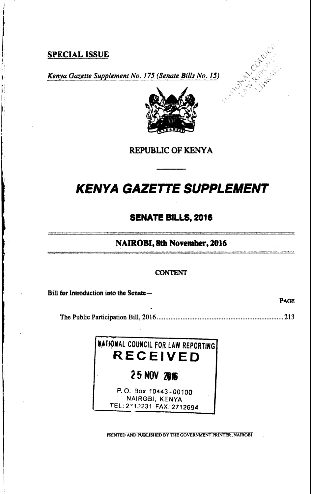## **SPECIAL ISSUE**

Kenya Gazette Supplement No. 175 (Senate Bills No. 15)



PAGE



**REPUBLIC OF KENYA** 

# **KENYA GAZETTE SUPPLEMENT**

## **SENATE BILLS, 2016**

## NAIROBI, 8th November, 2016

#### **CONTENT**

Bill for Introduction into the Senate-

**NATIONAL COUNCIL FOR LAW REPORTING RECEIVED** 25 NOV 2016

P.O. Box 10443-00100 NAIRGBI, KENYA TEL: 2713231 FAX: 2712694

PRINTED AND PUBLISHED BY THE GOVERNMENT PRINTER, NAIROBI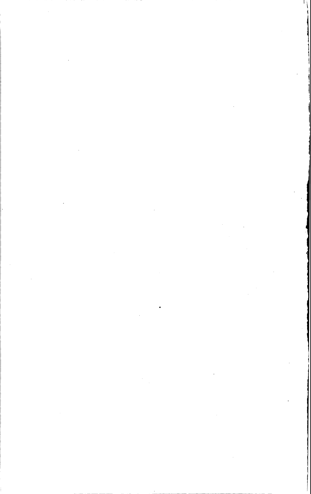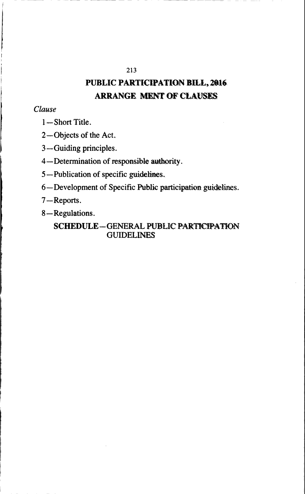## PUBLIC PARTICIPATION BILL, 2016 **ARRANGE MENT OF CLAUSES**

## Clause

- 1-Short Title.
- 2-Objects of the Act.
- 3-Guiding principles.
- 4-Determination of responsible authority.
- 5-Publication of specific guidelines.
- 6-Development of Specific Public participation guidelines.
- 7-Reports.
- 8-Regulations.

## **SCHEDULE-GENERAL PUBLIC PARTICIPATION GUIDELINES**

#### 213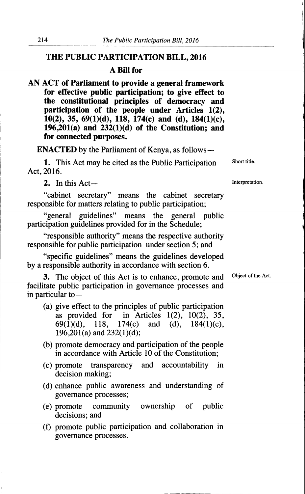### THE PUBLIC PARTICIPATION BILL, 2016

### A Bill for

AN ACT of Parliament to provide a general framework for effective public participation; to give effect to the constitutional principles of democracy and participation of the people under Articles 1(2),  $10(2)$ , 35, 69(1)(d), 118, 174(c) and (d), 184(1)(c),  $196.201(a)$  and  $232(1)(d)$  of the Constitution: and for connected purposes.

ENACTED by the Parliament of Kenya, as follows-

1. This Act may be cited as the Public Participation Short title. Act,2O16.

2. In this  $Act -$  Interpretation.

"cabinet secretary" means the cabinet secretary responsible for matters relating to public participation;

"general guidelines" means the general public participation guidelines provided for in the Schedule;

"responsible authority" means the respective authority responsible for public participation under section 5; and

"specific guidelines" means the guidelines developed by a responsible authority in accordance with section 6.

3. The object of this Act is to enhance, promote and Object of the Act. facilitate public participation in governance processes and in particular to $-$ 

- (a) give effect to the principles of public participation as provided for in Articles 1(2), 10(2), 35,  $69(1)(d)$ , 118, 174(c) and (d), 184(1)(c),  $184(1)(c)$ ,  $196,201(a)$  and  $232(1)(d)$ ;
- (b) promote democracy and participation of the people in accordance with Article 10 of the Constitution;
- (c) promote transparency and accountability in decision making;
- (d) enhance public awareness and understanding of governance processes;
- (e) promote community ownership of public decisions; and
- (f) promote public participation and collaboration in governance processes.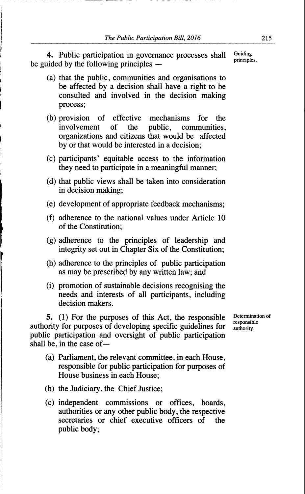4. Public participation in governance processes shall  $\frac{q_{\text{uiding}}}{q_{\text{principles}}}$ be guided by the following principles  $-$ 

- (a) that the public, communities and organisations to be affected by a decision shall have a right to be consulted and involved in the decision making process;
- (b) provision of effective mechanisms for the involvement of the public, communities, communities. organizations and citizens that would be affected by or that would be interested in a decision;
- (c) participants' equitable access to the information they need to participate in a meaningful manner;
- (d) that public views shall be taken into consideration in decision making;
- (e) development of appropriate feedback mechanisms;
- (f) adherence to the national values under Article 10 of the Constitution;
- G) adherence to the principles of leadership and integrity set out in Chapter Six of the Constitution;
- (h) adherence to the principles of public participation as may be prescribed by any written law; and
- (i) promotion of sustainable decisions recognising the needs and interests of all participants, including decision makers.

5. (1) For the purposes of this Act, the responsible authority for purposes of developing specific guidelines for public participation and oversight of public participation shall be, in the case of  $-$ 

Determination of responsible authority.

- (a) Parliament, the relevant committee, in each House, responsible for public participation for purposes of House business in each House;
- (b) the Judiciary, the Chief Justice;
- (c) independent commissions or offices, boards, authorities or any other public body, the respective secretaries or chief executive officers of the public body;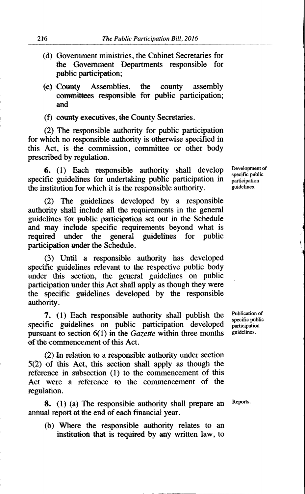- (d) Government ministries, the Cabinet Secretaries for the Government Departments responsible for public participation;
- (e) County Assemblies. the county assembly committees responsible for public participation; and
- (f) county executives, the County Secretaries.

(2) The responsible authority for public participation for which no responsible authority is otherwise specified in this Act, is the commission, committee or other body prescribed by regulation.

6. (1) Each responsible authority shall develop specific guidelines for undertaking public participation in the institution for which it is the responsible authority.

(2) The guidelines developed by a responsible authority shall include all the requirements in the general guidelines for public participation set out in the Schedule and may include specific requirements beyond what is required under the general guidelines for public participation under the Schedule.

(3) Until a responsible authority has developed specific guidelines relevant to the respective public body under this section, the general guidelines on public participation under this Act shall apply as though they were the specific guidelines developed by the responsible authority.

7. (1) Each responsible authority shall publish the specific guidelines on public participation developed pursuant to section  $6(1)$  in the *Gazette* within three months of the commencement of this Act.

(2) In relation to a responsible authority under section  $5(2)$  of this Act, this section shall apply as though the reference in subsection (1) to the commencement of this Act were a reference to the commencement of the regulation.

8. (1) (a) The responsible authority shall prepare an annual report at the end of each financial year.

(b) Where the responsible authority relates to an institution that is required by any written law, to Publication of specific public participation guidelines.

Reports.

Development of specific public participation guidelines.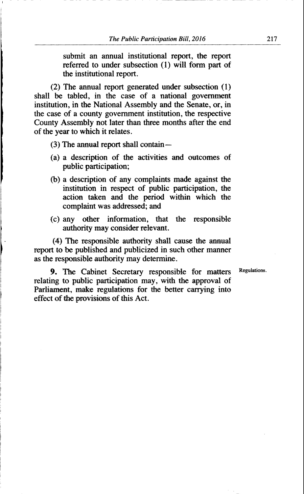submit an annual institutional report, the report referred to under subsection (1) will form part of the institutional report.

(2) The annual report generated under subsection (1) shall be tabled, in the case of a national government institution, in the National Assembly and the Senate, or, in the case of a county government institution, the respective County Assembly not later than three months after the end of the year to which it relates.

- (3) The annual report shall contain—
- (a) a description of the activities and outcomes of public participation;
- (b) a description of any complaints made against the institution in respect of public participation, the action taken and the period within which the complaint was addressed; and
- (c) any other information, that the responsible authority may consider relevant.

(4) The responsible authority shall cause the annual report to be published and publicized in such other manner as the responsible authority may determine.

9. The Cabinet Secretary responsible for matters relating to public participation may, with the approval of Parliament, make regulations for the better carrying into effect of the provisions of this Act.

Regulations.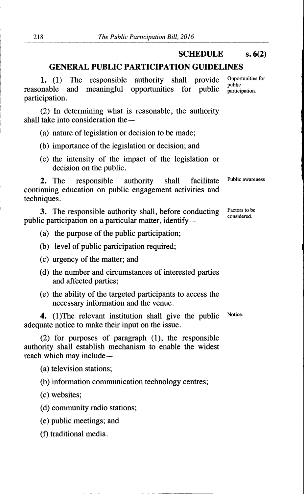#### SCHEDULE s. 6(2)

#### GENERAL PUBLIC PARTICIPATION GUIDELINES

1. (1) The responsible authority shall provide Opportunities for  $reasonable$  and meaningful opportunities for public  $P_{\text{participation}}^{ \text{punc}}$ participation.

(2) In determining what is reasonable, the authority shall take into consideration the-

(a) nature of legislation or decision to be made;

- (b) importance of the legislation or decision; and
- (c) the intensity of the impact of the legislation or decision on the public.

2. The responsible authority shall facilitate Public awareness continuing education on public engagement activities and techniques.

3. The responsible authority shall, before conducting  $F_{\text{acotors to be}}$ public participation on a particular matter, identify  $-$ 

- (a) the purpose of the public participation;
- (b) level of public participation required;
- (c) urgency of the matter; and
- (d) the number and circumstances of interested parties and affected parties;
- (e) the ability of the targeted participants to access the necessary information and the venue.

4. (1) The relevant institution shall give the public Notice. adequate notice to make their input on the issue.

(2) for purposes of paragraph (1), the responsible authority shall establish mechanism to enable the widest reach which may include-

(a) television stations;

(b) information communication technology centres;

(c) websites;

(d) community radio stations;

(e) public meetings; and

(f) traditional media.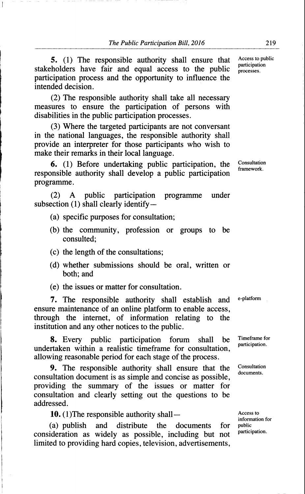5. (1) The responsible authority shall ensure that  $\frac{\text{Access to public}}{\text{participation}}$ stakeholders have fair and equal access to the public  $_{processes.}^{partic$ participation process and the opportunity to influence the intended decision.

(2) The responsible authority shall take all necessary measures to ensure the paticipation of persons with disabilities in the public participation processes.

(3) Where the targeted participants are not conversant in the national languages, the responsible authority shall provide an interpreter for those participants who wish to make their remarks in their local language.

6. (1) Before undertaking public participation, the Consultation responsible authority shall develop a public participation programme.

 $(2)$  A public participation programme under subsection (1) shall clearly identify-

- (a) specific purposes for consultation;
- (b) the community, profession or groups to be consulted;
- (c) the length of the consultations;
- (d) whether submissions should be oral, written or both; and
- (e) the issues or matter for consultation.

7. The responsible authority shall establish and  $e$ -platform ensure maintenance of an online platform to enable access, through the internet, of information relating to the institution and any other notices to the public.

8. Every public participation forum shall be Timeframe for undertaken within a realistic timeframe for consultation, allowing reasonable period for each stage of the process.

9. The responsible authority shall ensure that the Consultation documents. consultation document is as simple and concise as possible, providing the summary of the issues or matter for consultation and clearly setting out the questions to be addressed.

**10.** (1)The responsible authority shall — Access to information for

(a) publish and distribute the documents for  $p$ ublic including  $\frac{1}{h}$   $\frac{1}{h}$   $\frac{1}{h}$   $\frac{1}{h}$   $\frac{1}{h}$   $\frac{1}{h}$   $\frac{1}{h}$   $\frac{1}{h}$   $\frac{1}{h}$   $\frac{1}{h}$   $\frac{1}{h}$   $\frac{1}{h}$   $\frac{1}{h}$   $\frac{1}{h}$   $\frac{1}{h}$   $\frac{1}{h$ consideration as widely as possible, including but not limited to providing hard copies, television, advertisements,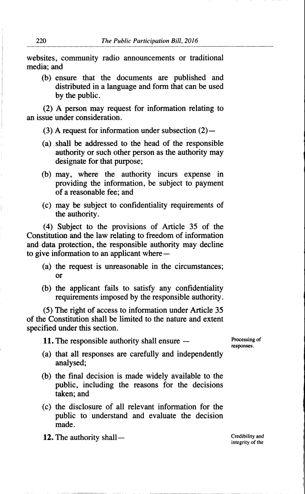websites, community radio announcements or traditional media; and

(b) ensure that the documents are published and distributed in a language and form that can be used by the public.

(2) A person may request for information relating to an issue under consideration.

- (3) A request for information under subsection  $(2)$ -
- (a) shall be addressed to the head of the responsible authority or such other person as the authority may designate for that purpose;
- (b) may, where the authority incurs expense in providing the information, be subject to payment of a reasonable fee; and
- (c) may be subject to confidentiality requirements of the authority.

(4) Subject to the provisions of Article 35 of the Constitution and the law relating to freedom of information and data protection, the responsible authority may decline to give information to an applicant where  $-$ 

- (a) the request is unreasonable in the circumstances; or
- (b) the applicant fails to satisfy any confidentiality requirements imposed by the responsible authority.

 $(5)$  The right of access to information under Article 35 of the Constitution shall be limited to the nature and extent specified under this section.

11. The responsible authority shall ensure  $-$ 

Processing of responses.

- (a) that all responses are carefully and independently analysed;
- (b) the final decision is made widely available to the public, including the reasons for the decisions taken; and
- (c) the disclosure of all relevant information for the public to understand and evaluate the decision made.
- **12.** The authority shall –

Credibility and integrity of the